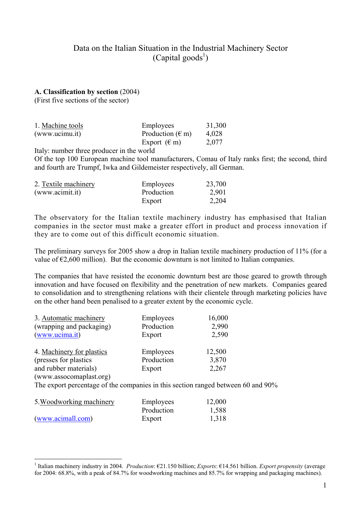# Data on the Italian Situation in the Industrial Machinery Sector  $(Capital goods<sup>1</sup>)$

### **A. Classification by section** (2004)

(First five sections of the sector)

| 1. Machine tools | Employees                 | 31,300 |
|------------------|---------------------------|--------|
| (www.ucimu.it)   | Production $(\epsilon m)$ | 4,028  |
|                  | Export $(\epsilon m)$     | 2,077  |

Italy: number three producer in the world

Of the top 100 European machine tool manufacturers, Comau of Italy ranks first; the second, third and fourth are Trumpf, Iwka and Gildemeister respectively, all German.

| 2. Textile machinery | Employees  | 23,700 |
|----------------------|------------|--------|
| (www.acimit.it)      | Production | 2,901  |
|                      | Export     | 2,204  |

The observatory for the Italian textile machinery industry has emphasised that Italian companies in the sector must make a greater effort in product and process innovation if they are to come out of this difficult economic situation.

The preliminary surveys for 2005 show a drop in Italian textile machinery production of 11% (for a value of  $\epsilon$ 2,600 million). But the economic downturn is not limited to Italian companies.

The companies that have resisted the economic downturn best are those geared to growth through innovation and have focused on flexibility and the penetration of new markets. Companies geared to consolidation and to strengthening relations with their clientele through marketing policies have on the other hand been penalised to a greater extent by the economic cycle.

| 3. Automatic machinery    | Employees  | 16,000 |
|---------------------------|------------|--------|
| (wrapping and packaging)  | Production | 2,990  |
| (www.ucima.it)            | Export     | 2,590  |
| 4. Machinery for plastics | Employees  | 12,500 |
| (presses for plastics)    | Production | 3,870  |
| and rubber materials)     | Export     | 2,267  |
| (www.assocomaplast.org)   |            |        |

The export percentage of the companies in this section ranged between 60 and 90%

| 5. Woodworking machinery | Employees  | 12,000 |
|--------------------------|------------|--------|
|                          | Production | 1,588  |
| (www.acimall.com)        | Export     | 1,318  |

 $\overline{a}$ 

<sup>1</sup> Italian machinery industry in 2004. *Production*: €21.150 billion; *Exports*: €14.561 billion. *Export propensity* (average for 2004: 68.8%, with a peak of 84.7% for woodworking machines and 85.7% for wrapping and packaging machines).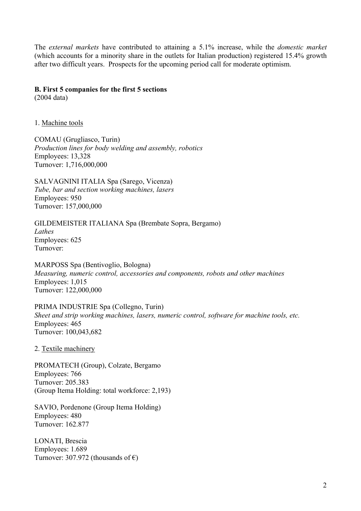The *external markets* have contributed to attaining a 5.1% increase, while the *domestic market*  (which accounts for a minority share in the outlets for Italian production) registered 15.4% growth after two difficult years. Prospects for the upcoming period call for moderate optimism.

### **B. First 5 companies for the first 5 sections**

(2004 data)

1. Machine tools

COMAU (Grugliasco, Turin) *Production lines for body welding and assembly, robotics*  Employees: 13,328 Turnover: 1,716,000,000

SALVAGNINI ITALIA Spa (Sarego, Vicenza) *Tube, bar and section working machines, lasers*  Employees: 950 Turnover: 157,000,000

GILDEMEISTER ITALIANA Spa (Brembate Sopra, Bergamo) *Lathes*  Employees: 625 Turnover:

MARPOSS Spa (Bentivoglio, Bologna) *Measuring, numeric control, accessories and components, robots and other machines*  Employees: 1,015 Turnover: 122,000,000

PRIMA INDUSTRIE Spa (Collegno, Turin) *Sheet and strip working machines, lasers, numeric control, software for machine tools, etc.*  Employees: 465 Turnover: 100,043,682

2. Textile machinery

PROMATECH (Group), Colzate, Bergamo Employees: 766 Turnover: 205.383 (Group Itema Holding: total workforce: 2,193)

SAVIO, Pordenone (Group Itema Holding) Employees: 480 Turnover: 162.877

LONATI, Brescia Employees: 1.689 Turnover: 307.972 (thousands of  $\epsilon$ )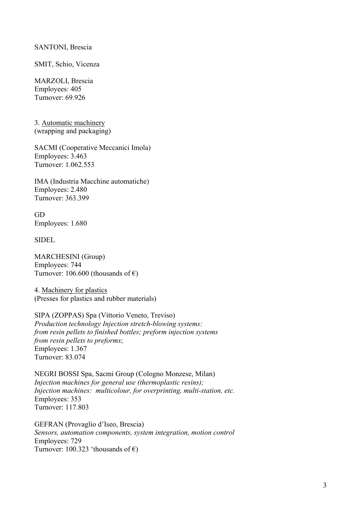#### SANTONI, Brescia

SMIT, Schio, Vicenza

MARZOLI, Brescia Employees: 405 Turnover: 69.926

3. Automatic machinery (wrapping and packaging)

SACMI (Cooperative Meccanici Imola) Employees: 3.463 Turnover: 1.062.553

IMA (Industria Macchine automatiche) Employees: 2.480 Turnover: 363.399

GD Employees: 1.680

SIDEL

MARCHESINI (Group) Employees: 744 Turnover: 106.600 (thousands of  $\epsilon$ )

4. Machinery for plastics (Presses for plastics and rubber materials)

SIPA (ZOPPAS) Spa (Vittorio Veneto, Treviso) *Production technology Injection stretch-blowing systems: from resin pellets to finished bottles; preform injection systems from resin pellets to preforms*; Employees: 1.367 Turnover: 83.074

NEGRI BOSSI Spa, Sacmi Group (Cologno Monzese, Milan) *Injection machines for general use (thermoplastic resins); Injection machines: multicolour, for overprinting, multi-station, etc.*  Employees: 353 Turnover: 117.803

GEFRAN (Provaglio d'Iseo, Brescia) *Sensors, automation components, system integration, motion control*  Employees: 729 Turnover: 100.323 'thousands of  $\epsilon$ )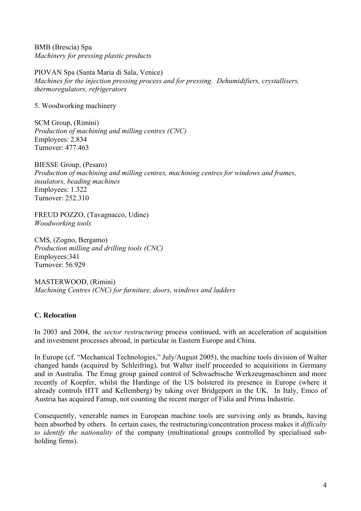BMB (Brescia) Spa *Machinery for pressing plastic products* 

PIOVAN Spa (Santa Maria di Sala, Venice) *Machines for the injection pressing process and for pressing. Dehumidifiers, crystallisers, thermoregulators, refrigerators* 

5. Woodworking machinery

SCM Group, (Rimini) *Production of machining and milling centres (CNC)*  Employees: 2.834 Turnover: 477.463

BIESSE Group, (Pesaro) *Production of machining and milling centres, machining centres for windows and frames, insulators, beading machines*  Employees: 1.322 Turnover: 252.310

FREUD POZZO, (Tavagnacco, Udine) *Woodworking tools* 

CMS, (Zogno, Bergamo) *Production milling and drilling tools (CNC)*  Employees:341 Turnover: 56.929

MASTERWOOD, (Rimini) *Machining Centres (CNC) for furniture, doors, windows and ladders* 

### **C. Relocation**

In 2003 and 2004, the *sector restructuring* process continued, with an acceleration of acquisition and investment processes abroad, in particular in Eastern Europe and China.

In Europe (cf. "Mechanical Technologies," July/August 2005), the machine tools division of Walter changed hands (acquired by Schleifring), but Walter itself proceeded to acquisitions in Germany and in Australia. The Emag group gained control of Schwaebische Werkzeugmaschinen and more recently of Koepfer, whilst the Hardinge of the US bolstered its presence in Europe (where it already controls HTT and Kellemberg) by taking over Bridgeport in the UK. In Italy, Emco of Austria has acquired Famup, not counting the recent merger of Fidia and Prima Industrie.

Consequently, venerable names in European machine tools are surviving only as brands, having been absorbed by others. In certain cases, the restructuring/concentration process makes it *difficulty to identify the nationality* of the company (multinational groups controlled by specialised subholding firms).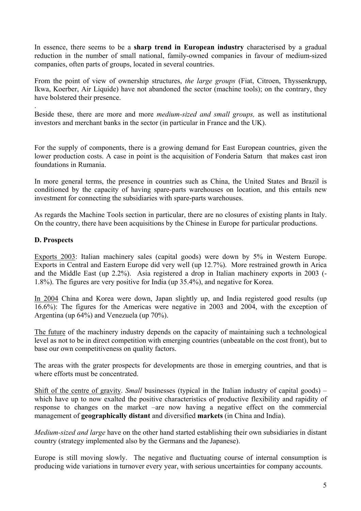In essence, there seems to be a **sharp trend in European industry** characterised by a gradual reduction in the number of small national, family-owned companies in favour of medium-sized companies, often parts of groups, located in several countries.

From the point of view of ownership structures, *the large groups* (Fiat, Citroen, Thyssenkrupp, Ikwa, Koerber, Air Liquide) have not abandoned the sector (machine tools); on the contrary, they have bolstered their presence.

. Beside these, there are more and more *medium-sized and small groups,* as well as institutional investors and merchant banks in the sector (in particular in France and the UK).

For the supply of components, there is a growing demand for East European countries, given the lower production costs. A case in point is the acquisition of Fonderia Saturn that makes cast iron foundations in Rumania.

In more general terms, the presence in countries such as China, the United States and Brazil is conditioned by the capacity of having spare-parts warehouses on location, and this entails new investment for connecting the subsidiaries with spare-parts warehouses.

As regards the Machine Tools section in particular, there are no closures of existing plants in Italy. On the country, there have been acquisitions by the Chinese in Europe for particular productions.

## **D. Prospects**

Exports 2003: Italian machinery sales (capital goods) were down by 5% in Western Europe. Exports in Central and Eastern Europe did very well (up 12.7%). More restrained growth in Arica and the Middle East (up 2.2%). Asia registered a drop in Italian machinery exports in 2003 (- 1.8%). The figures are very positive for India (up 35.4%), and negative for Korea.

In 2004 China and Korea were down, Japan slightly up, and India registered good results (up 16.6%): The figures for the Americas were negative in 2003 and 2004, with the exception of Argentina (up 64%) and Venezuela (up 70%).

The future of the machinery industry depends on the capacity of maintaining such a technological level as not to be in direct competition with emerging countries (unbeatable on the cost front), but to base our own competitiveness on quality factors.

The areas with the grater prospects for developments are those in emerging countries, and that is where efforts must be concentrated.

Shift of the centre of gravity. *Small* businesses (typical in the Italian industry of capital goods) – which have up to now exalted the positive characteristics of productive flexibility and rapidity of response to changes on the market –are now having a negative effect on the commercial management of **geographically distant** and diversified **markets** (in China and India).

*Medium-sized and large* have on the other hand started establishing their own subsidiaries in distant country (strategy implemented also by the Germans and the Japanese).

Europe is still moving slowly. The negative and fluctuating course of internal consumption is producing wide variations in turnover every year, with serious uncertainties for company accounts.